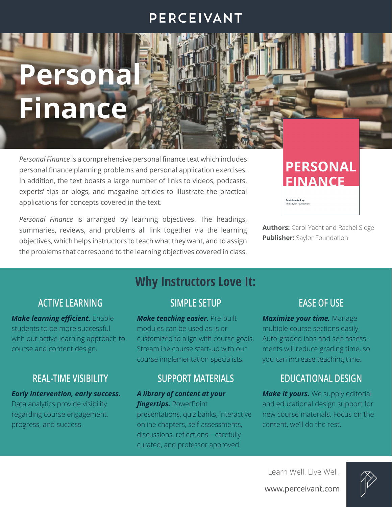### PERCEIVANT

# **Persona Finance**

*Personal Finance* is a comprehensive personal finance text which includes personal finance planning problems and personal application exercises. In addition, the text boasts a large number of links to videos, podcasts, experts' tips or blogs, and magazine articles to illustrate the practical applications for concepts covered in the text.

*Personal Finance* is arranged by learning objectives. The headings, summaries, reviews, and problems all link together via the learning objectives, which helps instructors to teach what they want, and to assign the problems that correspond to the learning objectives covered in class.

# **PERSONAL FINANCE**

**Text Adapted by:** 

**Authors:** Carol Yacht and Rachel Siegel **Publisher:** Saylor Foundation

#### **ACTIVE LEARNING**

*Make learning efficient.* Enable students to be more successful with our active learning approach to course and content design.

#### **REAL-TIME VISIBILITY**

#### *Early intervention, early success.*

Data analytics provide visibility regarding course engagement, progress, and success.

# **Why Instructors Love It:**

#### **SIMPLE SETUP**

*Make teaching easier.* Pre-built modules can be used as-is or customized to align with course goals. Streamline course start-up with our course implementation specialists.

#### **SUPPORT MATERIALS**

#### *A library of content at your* **fingertips.** PowerPoint

presentations, quiz banks, interactive online chapters, self-assessments, discussions, reflections—carefully curated, and professor approved.

#### **EASE OF USE**

*Maximize your time.* Manage multiple course sections easily. Auto-graded labs and self-assessments will reduce grading time, so you can increase teaching time.

#### **EDUCATIONAL DESIGN**

*Make it yours.* We supply editorial and educational design support for new course materials. Focus on the content, we'll do the rest.



www.perceivant.com